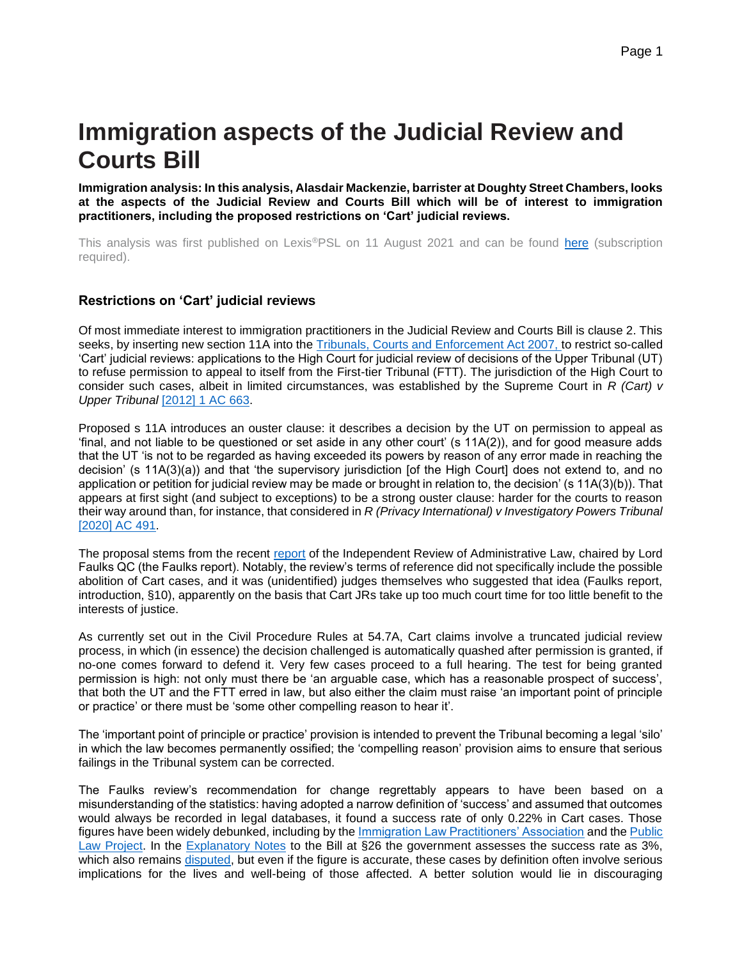# **Immigration aspects of the Judicial Review and Courts Bill**

**Immigration analysis: In this analysis, Alasdair Mackenzie, barrister at Doughty Street Chambers, looks at the aspects of the Judicial Review and Courts Bill which will be of interest to immigration practitioners, including the proposed restrictions on 'Cart' judicial reviews.**

This analysis was first published on Lexis®PSL on 11 August 2021 and can be found [here](https://www.lexisnexis.com/uk/lexispsl/immigration/document/412012/63BP-4S83-GXFD-8079-00000-00/Immigration%20aspects%20of%20the%20Judicial%20Review%20and%20Courts%20Bill) (subscription required).

#### **Restrictions on 'Cart' judicial reviews**

Of most immediate interest to immigration practitioners in the Judicial Review and Courts Bill is clause 2. This seeks, by inserting new section 11A into the [Tribunals, Courts and Enforcement Act 2007, t](https://www.lexisnexis.com/uk/lexispsl/immigration/citationlinkHandler.faces?bct=A&service=citation&risb=&UK_ACTS&$num!%252007_15a_Title%25)o restrict so-called 'Cart' judicial reviews: applications to the High Court for judicial review of decisions of the Upper Tribunal (UT) to refuse permission to appeal to itself from the First-tier Tribunal (FTT). The jurisdiction of the High Court to consider such cases, albeit in limited circumstances, was established by the Supreme Court in *R (Cart) v Upper Tribunal* [\[2012\] 1 AC 663.](https://www.lexisnexis.com/uk/lexispsl/immigration/citationlinkHandler.faces?bct=A&service=citation&risb=&AC&$sel1!%252012%25$year!%252012%25$sel2!%251%25$vol!%251%25$page!%25663%25)

Proposed s 11A introduces an ouster clause: it describes a decision by the UT on permission to appeal as 'final, and not liable to be questioned or set aside in any other court' (s 11A(2)), and for good measure adds that the UT 'is not to be regarded as having exceeded its powers by reason of any error made in reaching the decision' (s 11A(3)(a)) and that 'the supervisory jurisdiction [of the High Court] does not extend to, and no application or petition for judicial review may be made or brought in relation to, the decision' (s 11A(3)(b)). That appears at first sight (and subject to exceptions) to be a strong ouster clause: harder for the courts to reason their way around than, for instance, that considered in *R (Privacy International) v Investigatory Powers Tribunal* [\[2020\] AC 491.](https://www.lexisnexis.com/uk/lexispsl/immigration/citationlinkHandler.faces?bct=A&service=citation&risb=&AC&$sel1!%252020%25$year!%252020%25$page!%25491%25)

The proposal stems from the recent [report](http://assets.publishing.service.gov.uk/government/uploads/system/uploads/attachment_data/file/970797/IRAL-report.pdf) of the Independent Review of Administrative Law, chaired by Lord Faulks QC (the Faulks report). Notably, the review's terms of reference did not specifically include the possible abolition of Cart cases, and it was (unidentified) judges themselves who suggested that idea (Faulks report, introduction, §10), apparently on the basis that Cart JRs take up too much court time for too little benefit to the interests of justice.

As currently set out in the Civil Procedure Rules at 54.7A, Cart claims involve a truncated judicial review process, in which (in essence) the decision challenged is automatically quashed after permission is granted, if no-one comes forward to defend it. Very few cases proceed to a full hearing. The test for being granted permission is high: not only must there be 'an arguable case, which has a reasonable prospect of success', that both the UT and the FTT erred in law, but also either the claim must raise 'an important point of principle or practice' or there must be 'some other compelling reason to hear it'.

The 'important point of principle or practice' provision is intended to prevent the Tribunal becoming a legal 'silo' in which the law becomes permanently ossified; the 'compelling reason' provision aims to ensure that serious failings in the Tribunal system can be corrected.

The Faulks review's recommendation for change regrettably appears to have been based on a misunderstanding of the statistics: having adopted a narrow definition of 'success' and assumed that outcomes would always be recorded in legal databases, it found a success rate of only 0.22% in Cart cases. Those figures have been widely debunked, including by the **Immigration Law Practitioners' Association** and the Public [Law Project.](http://ukconstitutionallaw.org/2021/03/29/joe-tomlinson-and-alison-pickup-putting-the-cart-before-the-horse-the-confused-empirical-basis-for-reform-of-cart-judicial-reviews/) In the [Explanatory Notes](http://publications.parliament.uk/pa/bills/cbill/58-02/0152/en/210152en.pdf) to the Bill at §26 the government assesses the success rate as 3%, which also remains [disputed,](http://barczentewicz.com/post/2021-05-21-should-cart-judicial-reviews-be-abolished-empirically-based-response/) but even if the figure is accurate, these cases by definition often involve serious implications for the lives and well-being of those affected. A better solution would lie in discouraging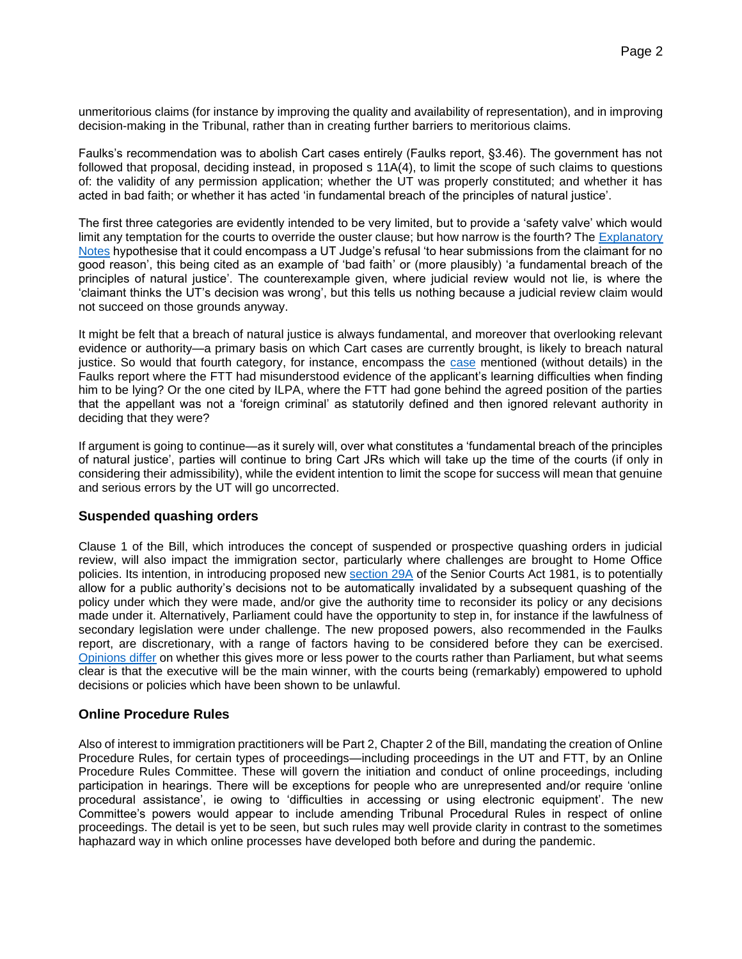unmeritorious claims (for instance by improving the quality and availability of representation), and in improving decision-making in the Tribunal, rather than in creating further barriers to meritorious claims.

Faulks's recommendation was to abolish Cart cases entirely (Faulks report, §3.46). The government has not followed that proposal, deciding instead, in proposed s 11A(4), to limit the scope of such claims to questions of: the validity of any permission application; whether the UT was properly constituted; and whether it has acted in bad faith; or whether it has acted 'in fundamental breach of the principles of natural justice'.

The first three categories are evidently intended to be very limited, but to provide a 'safety valve' which would limit any temptation for the courts to override the ouster clause; but how narrow is the fourth? The Explanatory [Notes](http://publications.parliament.uk/pa/bills/cbill/58-02/0152/en/210152en.pdf) hypothesise that it could encompass a UT Judge's refusal 'to hear submissions from the claimant for no good reason', this being cited as an example of 'bad faith' or (more plausibly) 'a fundamental breach of the principles of natural justice'. The counterexample given, where judicial review would not lie, is where the 'claimant thinks the UT's decision was wrong', but this tells us nothing because a judicial review claim would not succeed on those grounds anyway.

It might be felt that a breach of natural justice is always fundamental, and moreover that overlooking relevant evidence or authority—a primary basis on which Cart cases are currently brought, is likely to breach natural justice. So would that fourth category, for instance, encompass the [case](http://www.bailii.org/ew/cases/EWCA/Civ/2018/2495.html) mentioned (without details) in the Faulks report where the FTT had misunderstood evidence of the applicant's learning difficulties when finding him to be lying? Or the one cited by ILPA, where the FTT had gone behind the agreed position of the parties that the appellant was not a 'foreign criminal' as statutorily defined and then ignored relevant authority in deciding that they were?

If argument is going to continue—as it surely will, over what constitutes a 'fundamental breach of the principles of natural justice', parties will continue to bring Cart JRs which will take up the time of the courts (if only in considering their admissibility), while the evident intention to limit the scope for success will mean that genuine and serious errors by the UT will go uncorrected.

#### **Suspended quashing orders**

Clause 1 of the Bill, which introduces the concept of suspended or prospective quashing orders in judicial review, will also impact the immigration sector, particularly where challenges are brought to Home Office policies. Its intention, in introducing proposed new [section 29A](https://www.lexisnexis.com/uk/lexispsl/immigration/citationlinkHandler.faces?bct=A&service=citation&risb=&UK_ACTS&$num!%251981_54a%25$section!%2529A%25$sect!%2529A%25) of the Senior Courts Act 1981, is to potentially allow for a public authority's decisions not to be automatically invalidated by a subsequent quashing of the policy under which they were made, and/or give the authority time to reconsider its policy or any decisions made under it. Alternatively, Parliament could have the opportunity to step in, for instance if the lawfulness of secondary legislation were under challenge. The new proposed powers, also recommended in the Faulks report, are discretionary, with a range of factors having to be considered before they can be exercised. [Opinions differ](http://ukconstitutionallaw.org/2021/07/26/tom-hickman-qc-quashing-orders-and-the-judicial-review-and-courts-act/) on whether this gives more or less power to the courts rather than Parliament, but what seems clear is that the executive will be the main winner, with the courts being (remarkably) empowered to uphold decisions or policies which have been shown to be unlawful.

#### **Online Procedure Rules**

Also of interest to immigration practitioners will be Part 2, Chapter 2 of the Bill, mandating the creation of Online Procedure Rules, for certain types of proceedings—including proceedings in the UT and FTT, by an Online Procedure Rules Committee. These will govern the initiation and conduct of online proceedings, including participation in hearings. There will be exceptions for people who are unrepresented and/or require 'online procedural assistance', ie owing to 'difficulties in accessing or using electronic equipment'. The new Committee's powers would appear to include amending Tribunal Procedural Rules in respect of online proceedings. The detail is yet to be seen, but such rules may well provide clarity in contrast to the sometimes haphazard way in which online processes have developed both before and during the pandemic.